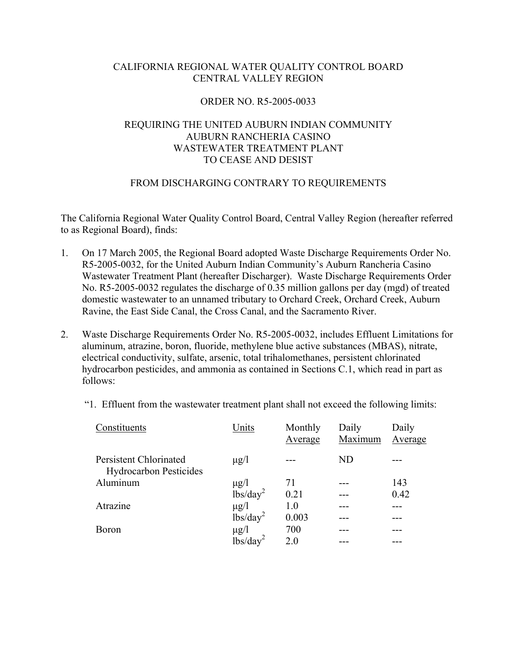# CALIFORNIA REGIONAL WATER QUALITY CONTROL BOARD CENTRAL VALLEY REGION

### ORDER NO. R5-2005-0033

# REQUIRING THE UNITED AUBURN INDIAN COMMUNITY AUBURN RANCHERIA CASINO WASTEWATER TREATMENT PLANT TO CEASE AND DESIST

### FROM DISCHARGING CONTRARY TO REQUIREMENTS

The California Regional Water Quality Control Board, Central Valley Region (hereafter referred to as Regional Board), finds:

- 1. On 17 March 2005, the Regional Board adopted Waste Discharge Requirements Order No. R5-2005-0032, for the United Auburn Indian Community's Auburn Rancheria Casino Wastewater Treatment Plant (hereafter Discharger). Waste Discharge Requirements Order No. R5-2005-0032 regulates the discharge of 0.35 million gallons per day (mgd) of treated domestic wastewater to an unnamed tributary to Orchard Creek, Orchard Creek, Auburn Ravine, the East Side Canal, the Cross Canal, and the Sacramento River.
- 2. Waste Discharge Requirements Order No. R5-2005-0032, includes Effluent Limitations for aluminum, atrazine, boron, fluoride, methylene blue active substances (MBAS), nitrate, electrical conductivity, sulfate, arsenic, total trihalomethanes, persistent chlorinated hydrocarbon pesticides, and ammonia as contained in Sections C.1, which read in part as follows:

| Constituents                                            | Units                | Monthly<br>Average | Daily<br>Maximum | Daily<br>Average |
|---------------------------------------------------------|----------------------|--------------------|------------------|------------------|
| Persistent Chlorinated<br><b>Hydrocarbon Pesticides</b> | $\mu$ g/l            |                    | <b>ND</b>        |                  |
| Aluminum                                                | $\mu$ g/l            | 71                 |                  | 143              |
|                                                         | lbs/day <sup>2</sup> | 0.21               |                  | 0.42             |
| Atrazine                                                | $\mu$ g/l            | 1.0                |                  |                  |
|                                                         | lbs/day <sup>2</sup> | 0.003              |                  |                  |
| <b>Boron</b>                                            | $\mu$ g/l            | 700                |                  |                  |
|                                                         | lbs/day              | 2.0                |                  |                  |

"1. Effluent from the wastewater treatment plant shall not exceed the following limits: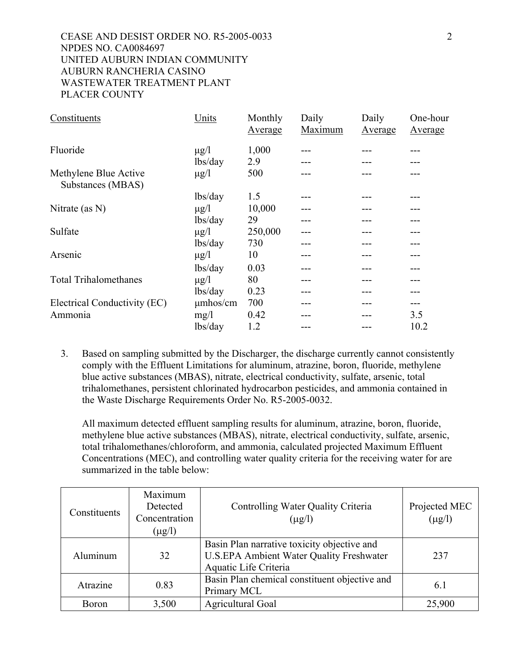## CEASE AND DESIST ORDER NO. R5-2005-0033 2 NPDES NO. CA0084697 UNITED AUBURN INDIAN COMMUNITY AUBURN RANCHERIA CASINO WASTEWATER TREATMENT PLANT PLACER COUNTY

| Constituents                               | Units     | Monthly<br>Average | Daily<br>Maximum | Daily<br>Average | One-hour<br>Average |
|--------------------------------------------|-----------|--------------------|------------------|------------------|---------------------|
| Fluoride                                   | $\mu$ g/l | 1,000              |                  |                  |                     |
|                                            | lbs/day   | 2.9                |                  |                  |                     |
| Methylene Blue Active<br>Substances (MBAS) | $\mu$ g/l | 500                |                  |                  |                     |
|                                            | lbs/day   | 1.5                |                  |                  |                     |
| Nitrate (as $N$ )                          | $\mu$ g/l | 10,000             |                  |                  |                     |
|                                            | lbs/day   | 29                 |                  |                  |                     |
| Sulfate                                    | $\mu$ g/l | 250,000            |                  |                  |                     |
|                                            | lbs/day   | 730                |                  |                  |                     |
| Arsenic                                    | $\mu$ g/l | 10                 |                  |                  |                     |
|                                            | lbs/day   | 0.03               |                  |                  | ---                 |
| <b>Total Trihalomethanes</b>               | $\mu$ g/l | 80                 |                  |                  |                     |
|                                            | lbs/day   | 0.23               |                  |                  |                     |
| Electrical Conductivity (EC)               | umhos/cm  | 700                |                  |                  |                     |
| Ammonia                                    | mg/1      | 0.42               |                  |                  | 3.5                 |
|                                            | lbs/day   | 1.2                |                  |                  | 10.2                |

3. Based on sampling submitted by the Discharger, the discharge currently cannot consistently comply with the Effluent Limitations for aluminum, atrazine, boron, fluoride, methylene blue active substances (MBAS), nitrate, electrical conductivity, sulfate, arsenic, total trihalomethanes, persistent chlorinated hydrocarbon pesticides, and ammonia contained in the Waste Discharge Requirements Order No. R5-2005-0032.

All maximum detected effluent sampling results for aluminum, atrazine, boron, fluoride, methylene blue active substances (MBAS), nitrate, electrical conductivity, sulfate, arsenic, total trihalomethanes/chloroform, and ammonia, calculated projected Maximum Effluent Concentrations (MEC), and controlling water quality criteria for the receiving water for are summarized in the table below:

| Constituents | Maximum<br>Detected<br>Concentration<br>$(\mu g/l)$ | Controlling Water Quality Criteria<br>$(\mu g/l)$                                                                       | Projected MEC<br>$(\mu g/l)$ |
|--------------|-----------------------------------------------------|-------------------------------------------------------------------------------------------------------------------------|------------------------------|
| Aluminum     | 32                                                  | Basin Plan narrative toxicity objective and<br><b>U.S.EPA Ambient Water Quality Freshwater</b><br>Aquatic Life Criteria | 237                          |
| Atrazine     | 0.83                                                | Basin Plan chemical constituent objective and<br>Primary MCL                                                            | 6.1                          |
| <b>Boron</b> | 3,500                                               | Agricultural Goal                                                                                                       | 25,900                       |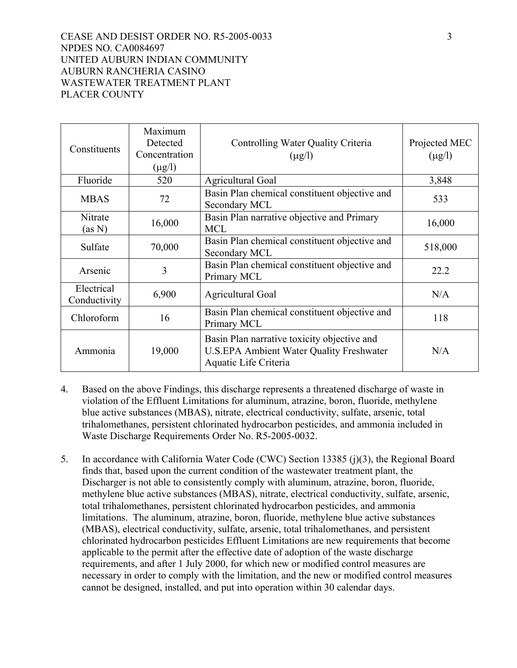### CEASE AND DESIST ORDER NO. R5-2005-0033 3 NPDES NO. CA0084697 UNITED AUBURN INDIAN COMMUNITY AUBURN RANCHERIA CASINO WASTEWATER TREATMENT PLANT PLACER COUNTY

| Constituents               | Maximum<br>Detected<br>Concentration<br>$(\mu g/l)$ | Controlling Water Quality Criteria<br>$(\mu g/l)$                                                                       | Projected MEC<br>$(\mu g/l)$ |
|----------------------------|-----------------------------------------------------|-------------------------------------------------------------------------------------------------------------------------|------------------------------|
| Fluoride                   | 520                                                 | <b>Agricultural Goal</b>                                                                                                | 3,848                        |
| <b>MBAS</b>                | 72                                                  | Basin Plan chemical constituent objective and<br>Secondary MCL                                                          | 533                          |
| Nitrate<br>(as N)          | 16,000                                              | Basin Plan narrative objective and Primary<br><b>MCL</b>                                                                | 16,000                       |
| Sulfate                    | 70,000                                              | Basin Plan chemical constituent objective and<br>Secondary MCL                                                          | 518,000                      |
| Arsenic                    | 3                                                   | Basin Plan chemical constituent objective and<br>Primary MCL                                                            | 22.2                         |
| Electrical<br>Conductivity | 6,900                                               | <b>Agricultural Goal</b>                                                                                                | N/A                          |
| Chloroform                 | 16                                                  | Basin Plan chemical constituent objective and<br>Primary MCL                                                            | 118                          |
| Ammonia                    | 19,000                                              | Basin Plan narrative toxicity objective and<br><b>U.S.EPA Ambient Water Quality Freshwater</b><br>Aquatic Life Criteria | N/A                          |

- 4. Based on the above Findings, this discharge represents a threatened discharge of waste in violation of the Effluent Limitations for aluminum, atrazine, boron, fluoride, methylene blue active substances (MBAS), nitrate, electrical conductivity, sulfate, arsenic, total trihalomethanes, persistent chlorinated hydrocarbon pesticides, and ammonia included in Waste Discharge Requirements Order No. R5-2005-0032.
- 5. In accordance with California Water Code (CWC) Section 13385 (j)(3), the Regional Board finds that, based upon the current condition of the wastewater treatment plant, the Discharger is not able to consistently comply with aluminum, atrazine, boron, fluoride, methylene blue active substances (MBAS), nitrate, electrical conductivity, sulfate, arsenic, total trihalomethanes, persistent chlorinated hydrocarbon pesticides, and ammonia limitations. The aluminum, atrazine, boron, fluoride, methylene blue active substances (MBAS), electrical conductivity, sulfate, arsenic, total trihalomethanes, and persistent chlorinated hydrocarbon pesticides Effluent Limitations are new requirements that become applicable to the permit after the effective date of adoption of the waste discharge requirements, and after 1 July 2000, for which new or modified control measures are necessary in order to comply with the limitation, and the new or modified control measures cannot be designed, installed, and put into operation within 30 calendar days.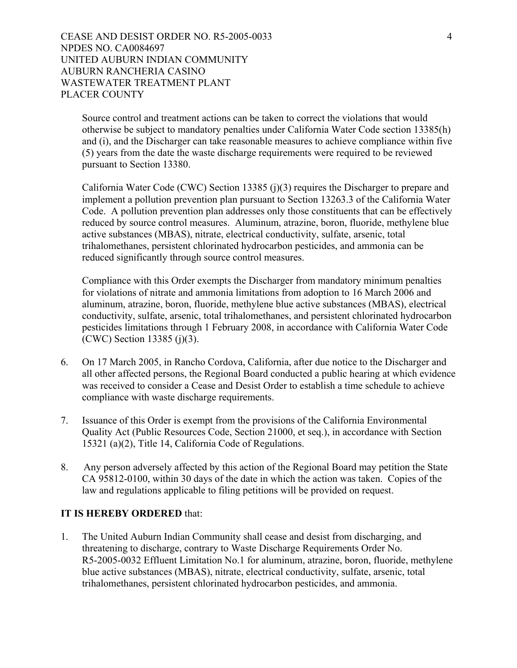CEASE AND DESIST ORDER NO. R5-2005-0033 4 NPDES NO. CA0084697 UNITED AUBURN INDIAN COMMUNITY AUBURN RANCHERIA CASINO WASTEWATER TREATMENT PLANT PLACER COUNTY

Source control and treatment actions can be taken to correct the violations that would otherwise be subject to mandatory penalties under California Water Code section 13385(h) and (i), and the Discharger can take reasonable measures to achieve compliance within five (5) years from the date the waste discharge requirements were required to be reviewed pursuant to Section 13380.

California Water Code (CWC) Section 13385 (j)(3) requires the Discharger to prepare and implement a pollution prevention plan pursuant to Section 13263.3 of the California Water Code. A pollution prevention plan addresses only those constituents that can be effectively reduced by source control measures. Aluminum, atrazine, boron, fluoride, methylene blue active substances (MBAS), nitrate, electrical conductivity, sulfate, arsenic, total trihalomethanes, persistent chlorinated hydrocarbon pesticides, and ammonia can be reduced significantly through source control measures.

Compliance with this Order exempts the Discharger from mandatory minimum penalties for violations of nitrate and ammonia limitations from adoption to 16 March 2006 and aluminum, atrazine, boron, fluoride, methylene blue active substances (MBAS), electrical conductivity, sulfate, arsenic, total trihalomethanes, and persistent chlorinated hydrocarbon pesticides limitations through 1 February 2008, in accordance with California Water Code (CWC) Section 13385 (j)(3).

- 6. On 17 March 2005, in Rancho Cordova, California, after due notice to the Discharger and all other affected persons, the Regional Board conducted a public hearing at which evidence was received to consider a Cease and Desist Order to establish a time schedule to achieve compliance with waste discharge requirements.
- 7. Issuance of this Order is exempt from the provisions of the California Environmental Quality Act (Public Resources Code, Section 21000, et seq.), in accordance with Section 15321 (a)(2), Title 14, California Code of Regulations.
- 8. Any person adversely affected by this action of the Regional Board may petition the State CA 95812-0100, within 30 days of the date in which the action was taken. Copies of the law and regulations applicable to filing petitions will be provided on request.

#### **IT IS HEREBY ORDERED** that:

1. The United Auburn Indian Community shall cease and desist from discharging, and threatening to discharge, contrary to Waste Discharge Requirements Order No. R5-2005-0032 Effluent Limitation No.1 for aluminum, atrazine, boron, fluoride, methylene blue active substances (MBAS), nitrate, electrical conductivity, sulfate, arsenic, total trihalomethanes, persistent chlorinated hydrocarbon pesticides, and ammonia.